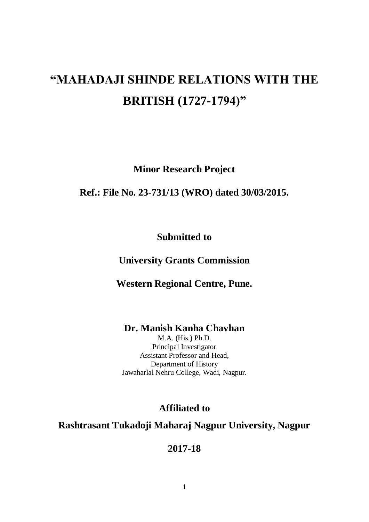# **"MAHADAJI SHINDE RELATIONS WITH THE BRITISH (1727-1794)"**

**Minor Research Project**

**Ref.: File No. 23-731/13 (WRO) dated 30/03/2015.**

**Submitted to**

**University Grants Commission**

**Western Regional Centre, Pune.**

**Dr. Manish Kanha Chavhan**

M.A. (His.) Ph.D. Principal Investigator Assistant Professor and Head, Department of History Jawaharlal Nehru College, Wadi, Nagpur.

**Affiliated to**

**Rashtrasant Tukadoji Maharaj Nagpur University, Nagpur**

**2017-18**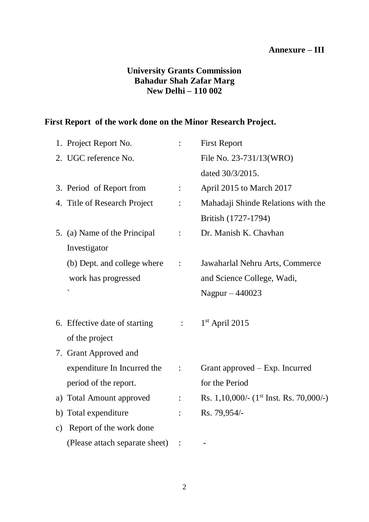#### **Annexure – III**

### **University Grants Commission Bahadur Shah Zafar Marg New Delhi – 110 002**

# **First Report of the work done on the Minor Research Project.**

| 1. Project Report No.                    |                               | <b>First Report</b>                       |
|------------------------------------------|-------------------------------|-------------------------------------------|
| 2. UGC reference No.                     |                               | File No. 23-731/13(WRO)                   |
|                                          |                               | dated 30/3/2015.                          |
| 3. Period of Report from                 |                               | April 2015 to March 2017                  |
| 4. Title of Research Project             |                               | Mahadaji Shinde Relations with the        |
|                                          |                               | British (1727-1794)                       |
| 5. (a) Name of the Principal             |                               | Dr. Manish K. Chavhan                     |
| Investigator                             |                               |                                           |
| (b) Dept. and college where              |                               | Jawaharlal Nehru Arts, Commerce           |
| work has progressed                      |                               | and Science College, Wadi,                |
|                                          |                               | Nagpur $-440023$                          |
|                                          |                               |                                           |
| 6. Effective date of starting            | $\mathbb{Z}^{\mathbb{Z}^n}$ . | $1st$ April 2015                          |
| of the project                           |                               |                                           |
| 7. Grant Approved and                    |                               |                                           |
| expenditure In Incurred the              |                               | Grant approved – Exp. Incurred            |
| period of the report.                    |                               | for the Period                            |
| a) Total Amount approved                 | $\ddot{\cdot}$                | Rs. 1,10,000/- $(1st Inst. Rs. 70,000/-)$ |
| b) Total expenditure                     |                               | Rs. 79,954/-                              |
| Report of the work done<br>$\mathbf{c})$ |                               |                                           |
| (Please attach separate sheet)           |                               |                                           |
|                                          |                               |                                           |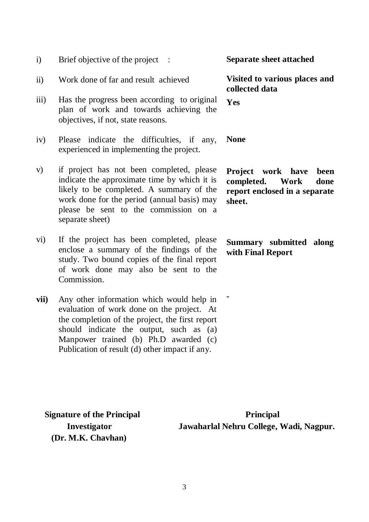- i) Brief objective of the project :
- ii) Work done of far and result achieved
- iii) Has the progress been according to original plan of work and towards achieving the objectives, if not, state reasons.
- iv) Please indicate the difficulties, if any, experienced in implementing the project.
- v) if project has not been completed, please indicate the approximate time by which it is likely to be completed. A summary of the work done for the period (annual basis) may please be sent to the commission on a separate sheet)
- vi) If the project has been completed, please enclose a summary of the findings of the study. Two bound copies of the final report of work done may also be sent to the Commission.
- **vii)** Any other information which would help in evaluation of work done on the project. At the completion of the project, the first report should indicate the output, such as  $(a)$ Manpower trained (b) Ph.D awarded (c) Publication of result (d) other impact if any.

**Separate sheet attached**

**Visited to various places and collected data** 

**Yes** 

**None** 

**-**

**Project work have been completed. Work done report enclosed in a separate sheet.** 

**Summary submitted along with Final Report**

 **(Dr. M.K. Chavhan)**

**Signature of the Principal** *Principal* **Investigator Jawaharlal Nehru College, Wadi, Nagpur.**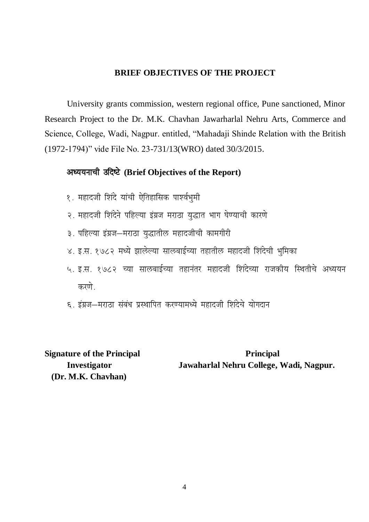#### **BRIEF OBJECTIVES OF THE PROJECT**

University grants commission, western regional office, Pune sanctioned, Minor Research Project to the Dr. M.K. Chavhan Jawarharlal Nehru Arts, Commerce and Science, College, Wadi, Nagpur. entitled, "Mahadaji Shinde Relation with the British (1972-1794)" vide File No. 23-731/13(WRO) dated 30/3/2015.

### अध्ययनाची उदिष्टे (Brief Objectives of the Report)

- १. महादजी शिंदे यांची ऐतिहासिक पार्श्वभुमी
- २. महादजी शिंदेने पहिल्या इंग्रज मराठा युद्धात भाग घेण्याची कारणे
- ३. पहिल्या इंग्रज-मराठा युद्धातील महादजीची कामगीरी
- ४. इ.स. १७८२ मध्ये झालेल्या सालबाईच्या तहातील महादजी शिंदेची भुमिका
- ५. इ.स. १७८२ च्या सालबाईच्या तहानंतर महादजी शिंदेच्या राजकीय स्थितीचे अध्ययन करणे
- ६. इंग्रज–मराठा संबंध प्रस्थापित करण्यामध्ये महादजी शिंदेचे योगदान

 **(Dr. M.K. Chavhan)**

**Signature of the Principal** *Principal* **Investigator Jawaharlal Nehru College, Wadi, Nagpur.**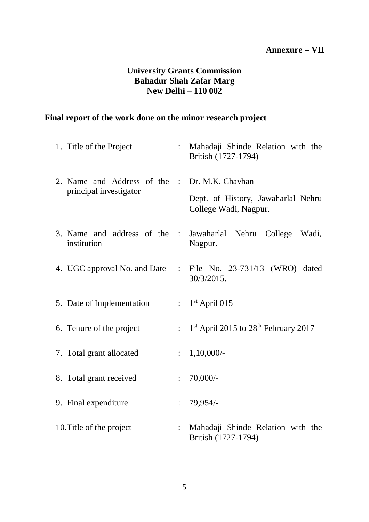#### **Annexure – VII**

#### **University Grants Commission Bahadur Shah Zafar Marg New Delhi – 110 002**

## **Final report of the work done on the minor research project**

| 1. Title of the Project                                                 |                | Mahadaji Shinde Relation with the<br>British (1727-1794)                    |
|-------------------------------------------------------------------------|----------------|-----------------------------------------------------------------------------|
| 2. Name and Address of the : Dr. M.K. Chavhan<br>principal investigator |                | Dept. of History, Jawaharlal Nehru<br>College Wadi, Nagpur.                 |
| institution                                                             |                | 3. Name and address of the : Jawaharlal Nehru College Wadi,<br>Nagpur.      |
|                                                                         |                | 4. UGC approval No. and Date : File No. 23-731/13 (WRO) dated<br>30/3/2015. |
| 5. Date of Implementation                                               |                | $: 1st$ April 015                                                           |
| 6. Tenure of the project                                                |                | : $1st$ April 2015 to 28 <sup>th</sup> February 2017                        |
| 7. Total grant allocated                                                |                | $\therefore$ 1,10,000/-                                                     |
| 8. Total grant received                                                 | $\mathbf{L}$   | 70,000/                                                                     |
| 9. Final expenditure                                                    |                | : 79,954/                                                                   |
| 10. Title of the project                                                | $\ddot{\cdot}$ | Mahadaji Shinde Relation with the<br>British (1727-1794)                    |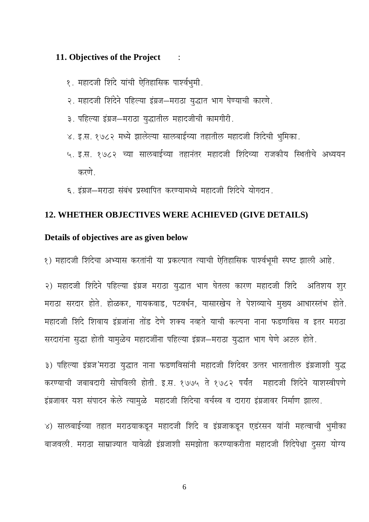#### 11. Objectives of the Project  $\ddot{\phantom{1}}$

- १. महादजी शिंदे यांची ऐतिहासिक पार्श्वभुमी.
- २. महादजी शिंदेने पहिल्या इंग्रज-मराठा युद्धात भाग घेण्याची कारणे.
- ३. पहिल्या इंग्रज-मराठा युद्धातील महादजीची कामगीरी.
- ४. इ.स. १७८२ मध्ये झालेल्या सालबाईच्या तहातील महादजी शिंदेची भुमिका.
- ५. इ.स. १७८२ च्या सालबाईच्या तहानंतर महादजी शिंदेच्या राजकीय स्थितीचे अध्ययन करणे
- ६. इंग्रज-मराठा संबंध प्रस्थापित करण्यामध्ये महादजी शिंदेचे योगदान.

#### 12. WHETHER OBJECTIVES WERE ACHIEVED (GIVE DETAILS)

#### Details of objectives are as given below

१) महादजी शिंदेचा अभ्यास करतांनी या प्रकल्पात त्याची ऐतिहासिक पार्श्वभूमी स्पष्ट झाली आहे.

२) महादजी शिंदेने पहिल्या इंग्रज मराठा युद्धात भाग घेतला कारण महादजी शिंदे अतिशय शुर मराठा सरदार होते. होळकर, गायकवाड, पटवर्धन, यासारखेच ते पेशव्याचे मुख्य आधारस्तंभ होते. महादजी शिंदे शिवाय इंग्रजांना तोंड देणे शक्य नव्हते याची कल्पना नाना फडणविस व इतर मराठा सरदारांना सुद्धा होती यामुळेच महादजींना पहिल्या इंग्रज-मराठा युद्धात भाग घेणे अटल होते.

३) पहिल्या इंग्रज'मराठा युद्धात नाना फडणविसांनी महादजी शिंदेवर उत्तर भारतातील इंग्रजाशी युद्ध करण्याची जबाबदारी सोपविली होती. इ.स. १७७५ ते १७८२ पर्यंत महादजी शिंदेने याशस्वीपणे इंग्रजावर यश संपादन केले त्यामुळे महादजी शिंदेचा वर्चस्व व दारारा इंग्रजावर निर्माण झाला.

४) सालबाईच्या तहात मराठयाकडून महादजी शिंदे व इंग्रजाकडून एडंरसन यांनी महत्वाची भुमीका बाजवली. मराठा साम्राज्यात यावेळी इंग्रजाशी समझोता करण्याकरीता महादजी शिंदेपेक्षा दुसरा योग्य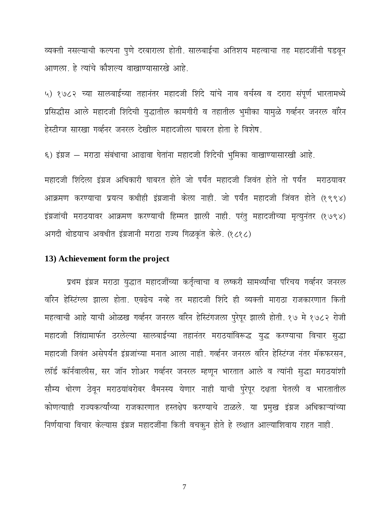व्यक्ती नसल्याची कल्पना पुणे दरबाराला होती. सालबाईचा अतिशय महत्वाचा तह महादजींनी घडवून आणला. हे त्यांचे कौशल्य वाखाण्यासारखे आहे.

५) १७८२ च्या सालबाईच्या तहानंतर महादजी शिंदे यांचे नाव वर्चस्व व दरारा संपूर्ण भारतामध्ये प्रसिद्धीस आले महादजी शिंदेची युद्धातील कामगीरी व तहातील भुमीका यामुळे गर्व्हनर जनरल वॉरेन हेस्टीग्ज सारखा गर्व्हनर जनरल देखील महादजीला घाबरत होता हे विशेष.

६) इंग्रज - मराठा संबंधाचा आढावा घेतांना महादजी शिंदेची भुमिका वाखाण्यासारखी आहे.

महादजी शिंदेला इंग्रज अधिकारी घाबरत होते जो पर्यंत महादजी जिवंत होते तो पर्यंत सराठयावर आक्रमण करण्याचा प्रयत्न कधीही इंग्रजानी केला नाही. जो पर्यंत महादजी जिंवत होते (१९९४) इंग्रजांची मराठयावर आक्रमण करण्याची हिम्मत झाली नाही. परंतु महादजीच्या मृत्युनंतर (१७९४) अगदी थोडयाच अवधीत इंग्रजानी मराठा राज्य गिळकृत केले. (१८१८)

#### 13) Achievement form the project

प्रथम इंग्रज मराठा यद्धात महादजींच्या कर्तृत्वाचा व लष्करी सामर्थ्यांचा परिचय गर्व्हनर जनरल वॉरेन हेस्टिंग्ला झाला होता. एवढेच नव्हे तर महादजी शिंदे ही व्यक्ती माराठा राजकारणात किती महत्वाची आहे याची ओळख गर्व्हनर जनरल वॉरेन हेस्टिंगजला पुरेपूर झाली होती. १७ मे १७८२ रोजी महादजी शिंद्यामार्फत ठरलेल्या सालबाईच्या तहानंतर मराठयांविरूद्ध युद्ध करण्याचा विचार सुद्धा महादजी जिवंत असेपर्यंत इंग्रजांच्या मनात आला नाही. गर्व्हनर जनरल वॉरेन हेस्टिंग्ज नंतर मॅकफरसन, लॉर्ड कॉर्नवालीस, सर जॉन शोअर गर्व्हनर जनरल म्हणून भारतात आले व त्यांनी सुद्धा मराठयांशी सौम्य धोरण ठेवून मराठयांबरोबर वैमनस्य येणार नाही याची पुरेपूर दक्षता घेतली व भारतातील कोणत्याही राज्यकर्त्यांच्या राजकारणात हस्तक्षेप करण्याचे टाळले. या प्रमुख इंग्रज अधिकाऱ्यांच्या निर्णयाचा विचार केल्यास इंग्रज महादजींना किती वचकन होते हे लक्षात आल्याशिवाय राहत नाही.

 $\overline{7}$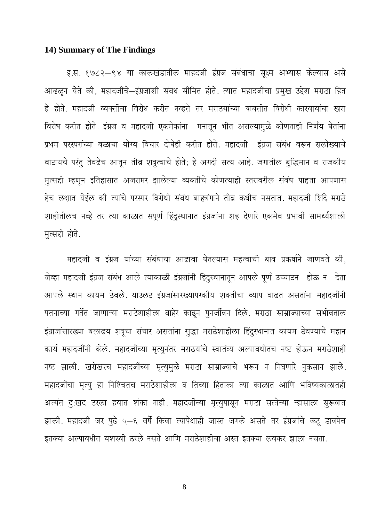## 14) Summary of The Findings

इ.स. १७८२–९४ या कालखंडातील माहदजी इंग्रज संबंधाचा सूक्ष्म अभ्यास केल्यास असे आढळून येते की, महादजींचे-इंग्रजांशी संबंध सीमित होते. त्यात महादजींचा प्रमुख उद्देश मराठा हित हे होते. महादजी व्यक्तींचा विरोध करीत नव्हते तर मराठयांच्या बाबतीत विरोधी कारवायांचा खरा विरोध करीत होते. इंग्रज व महादजी एकमेकांना मनातून भीत असल्यामुळे कोणताही निर्णय घेतांना प्रथम परस्परांच्या बळाचा योग्य विचार दोघेही करीत होते. महादजी इंग्रज संबंध वरून सलोख्याचे वाटायचे परंतु तेवढेच आतून तीव्र शत्रुत्वाचे होते; हे अगदी सत्य आहे. जगातील बुद्धिमान व राजकीय मृत्सद्दी म्हणून इतिहासात अजरामर झालेल्या व्यक्तीचे कोणत्याही स्तरावरील संबंध पाहता आपणास हेच लक्षात येईल की त्यांचे परस्पर विरोधी संबंध बाह्यंगाने तीव्र कधीच नसतात. महादजी शिंदे मराठे शाहीतीलच नव्हे तर त्या काळात सपूर्ण हिंदुस्थानात इंग्रजांना शह देणारे एकमेव प्रभावी सामर्थ्यशाली मुत्सद्दी होते.

महादजी व इंग्रज यांच्या संबंधाचा आढावा घेतल्यास महत्वाची बाब प्रकर्षाने जाणवते की, जेव्हा महादजी इंग्रज संबंध आले त्याकाळी इंग्रजांनी हिंदुस्थानातून आपले पूर्ण उच्चाटन होऊ न देता आपले स्थान कायम ठेवले. याउलट इंग्रजांसारख्यापरकीय शक्तीचा व्याप वाढत असतांना महादजींनी पतनाच्या गर्तेत जाणाऱ्या मराठेशाहीला बाहेर काढून पुनर्जीवन दिले. मराठा साम्राज्याच्या सभोवताल इंग्राजांसारख्या बलाढय शत्रूचा संचार असतांना सुद्धा मराठेशाहीला हिंदुस्थानात कायम ठेवण्याचे महान कार्य महादजींनी केले. महादजींच्या मृत्युनंतर मराठयांचे स्वातंत्र्य अल्पावधीतच नष्ट होऊन मराठेशाही नष्ट झाली. खरोखरच महादजींच्या मृत्युमुळे मराठा साम्राज्याचे भरून न निघणारे नुकसान झाले. महादजींचा मृत्यु हा निश्चितच मराठेशाहीला व तिच्या हिताला त्या काळात आणि भविष्यकाळातही अत्यंत दुःखद ठरला हयात शंका नाही. महादजींच्या मृत्युपासून मराठा सत्तेच्या ऱ्हासाला सुरूवात झाली. महादजी जर पुढे ५–६ वर्षे किंवा त्यापेक्षाही जास्त जगले असते तर इंग्रजांचे कटू डावपेच इतक्या अल्पावधीत यशस्वी ठरले नसते आणि मराठेशाहीचा अस्त इतक्या लवकर झाला नसता.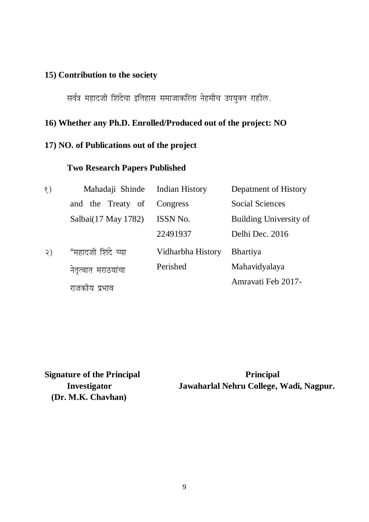### **15) Contribution to the society**

सर्वत्र महादजी शिंदेचा इतिहास समाजाकरिता नेहमीच उपयुक्त राहील.

### **16) Whether any Ph.D. Enrolled/Produced out of the project: NO**

#### **17) NO. of Publications out of the project**

### **Two Research Papers Published**

| $\delta$ )      | Mahadaji Shinde Indian History |                   | Depatment of History   |
|-----------------|--------------------------------|-------------------|------------------------|
|                 | and the Treaty of              | Congress          | <b>Social Sciences</b> |
|                 | Salbai(17 May 1782)            | <b>ISSN No.</b>   | Building University of |
|                 |                                | 22491937          | Delhi Dec. 2016        |
| $\mathcal{Q}$ ) | "महादजी शिंदे च्या             | Vidharbha History | <b>Bhartiya</b>        |
|                 | नेतृत्वात मराठयांचा            | Perished          | Mahavidyalaya          |
|                 | ाय प्रभाव<br>राजका             |                   | Amravati Feb 2017-     |

 **(Dr. M.K. Chavhan)**

**Signature of the Principal** *Principal* **Investigator Jawaharlal Nehru College, Wadi, Nagpur.**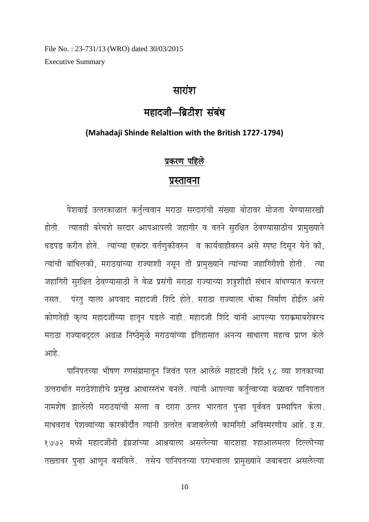File No.: 23-731/13 (WRO) dated 30/03/2015 **Executive Summary** 

# सारांश

# महादजी-ब्रिटीश संबंध

#### (Mahadaji Shinde Relaltion with the British 1727-1794)

#### प्रकरण पहिले

#### प्रस्तावना

पेशवाई उत्तरकाळात कर्तुत्ववान मराठा सरदारांची संख्या बोटावर मोजता येण्यासारखी होती. त्यातही बरेचशे सरदार आपआपली जहागीर व वतने सुरक्षित ठेवण्यासाठीच प्रामुख्याने धडपड करीत होते. त्यांच्या एकंदर वर्तणुकीवरुन व कार्यवाहीवरुन असे स्पष्ट दिसून येते की, त्यांची बांधिलकी, मराठयांच्या राज्याशी नसून ती प्रामुख्याने त्यांच्या जहागिरीशी होती. त्या जहागिरी सुरक्षित ठेवण्यासाठी ते वेळ प्रसंगी मराठा राज्याच्या शत्रुशीही संधान बांधण्यात कचरत नसत. पंरतु याला अपवाद महादजी शिंदे होते. मराठा राज्याला धोका निर्माण होईल असे कोणतेही कृत्य महादजींच्या हातून घडले नाही. महादजी शिंदे यांनी आपल्या पराक्रमाबरोबरच मराठा राज्याबद्दल अढळ निष्ठेमुळे मराठयांच्या इतिहासात अनन्य साधारण महत्व प्राप्त केले आहे.

पानिपतच्या भीषण रणसंग्रामातून जिवंत परत आलेले महादजी शिंदे १८ व्या शतकाच्या उत्तरार्धात मराठेशाहीचे प्रमुख आधारस्तंभ बनले. त्यांनी आपल्या कर्तृत्वाच्या बळावर पानिपतात नामशेष झालेली मराठयांची सत्ता व दरारा उत्तर भारतात पुन्हा पूर्ववत प्रस्थापित केला. माधवराव पेशव्यांच्या कारकीर्दीत त्यांनी उत्तरेत बजावलेली कामगिरी अविस्मरणीय आहे. इ.स. १७७२ मध्ये महादजींनी इंग्रजांच्या आश्रयाला असलेल्या बादशहा श्हाआलमला दिल्लीच्या तख्तावर पुन्हा आणून बसविले. तसेच पानिपतच्या पराभवाला प्रामुख्याने जबाबदार असलेल्या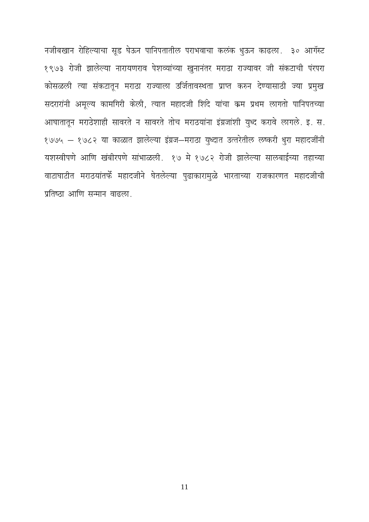नजीबखान रोहिल्याचा सूड घेऊन पानिपतातील पराभवाचा कलंक धुऊन काढला. ३० आगॅस्ट १९७३ रोजी झालेल्या नारायणराव पेशव्यांच्या खुनानंतर मराठा राज्यावर जी संकटाची पंरपरा कोसळली त्या संकटातून मराठा राज्याला उर्जितावस्थता प्राप्त करुन देण्यासाठी ज्या प्रमुख सदरारांनी अमूल्य कामगिरी केली, त्यात महादजी शिंदे यांचा कम प्रथम लागतो पानिपतच्या आघातातून मराठेशाही सावरते न सावरते तोच मराठयांना इंग्रजांशी युध्द करावे लागले. इ. स. १७७५ - १७८२ या काळात झालेल्या इंग्रज-मराठा युध्दात उत्तरेतील लष्करी धुरा महादजींनी यशस्वीपणे आणि खंबीरपणे सांभाळली. १७ मे १७८२ रोजी झालेल्या सालबाईच्या तहाच्या वाटाघाटीत मराठयांतर्फे महादजीने घेतलेल्या पुढाकारामुळे भारताच्या राजकारणत महादजीची प्रतिष्ठा आणि सन्मान वाढला.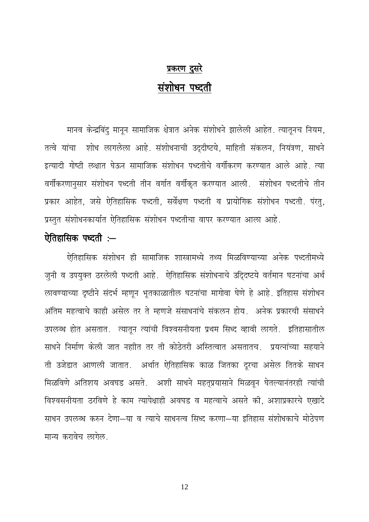# प्रकरण दुसरे संशोधन पध्दती

मानव केन्द्रबिंदु मानून सामाजिक क्षेत्रात अनेक संशोधने झालेली आहेत. त्यातूनच नियम, तत्वे यांचा शोध लागलेला आहे. संशोधनाची उद्दीष्टये, माहिती संकलन, नियंत्रण, साधने इत्यादी गोष्टी लक्षात घेऊन सामाजिक संशोधन पध्दतीचे वर्गीकरण करण्यात आले आहे. त्या वर्गीकरणानुसार संशोधन पध्दती तीन वर्गात वर्गीकृत करण्यात आली. संशोधन पध्दतीचे तीन प्रकार आहेत, जसे ऐतिहासिक पध्दती, सर्वेक्षण पध्दती व प्रायोगिक संशोधन पध्दती. पंरतु, प्रस्तुत संशोधनकार्यात ऐतिहासिक संशोधन पध्दतीचा वापर करण्यात आला आहे.

# ऐतिहासिक पध्दती :-

ऐतिहासिक संशोधन ही सामाजिक शास्त्रामध्ये तथ्य मिळविण्याच्या अनेक पध्दतीमध्ये जुनी व उपयुक्त ठरलेली पध्दती आहे. ऐतिहासिक संशोधनाचे उद्दिव्घ्टये वर्तमान घटनांचा अर्थ लावण्याच्या दृष्टीने संदर्भ म्हणून भूतकाळातील घटनांचा मागोवा घेणे हे आहे. इतिहास संशोधन अंतिम महत्वाचे काही असेल तर ते म्हणजे संसाधनांचे संकलन होय. अनेक प्रकारची संसाधने उपलब्ध होत असतात. त्यातून त्यांची विश्वसनीयता प्रथम सिध्द व्हावी लागते. इतिहासातील साधने निर्माण केली जात नहाीत तर ती कोठेतरी अस्तित्वात असतातच. प्रयत्नांच्या सहयाने ती उजेडात आणली जातात. अर्थात ऐतिहासिक काळ जितका दूरचा असेल तितके साधन मिळविणे अतिशय अवघड असते. अशी साधने महतप्रयासाने मिळवून घेतल्यानंतरही त्यांची विश्वसनीयता ठरविणे हे काम त्यापेक्षाही अवघड व महत्वाचे असते की, अशाप्रकारचे एखादे साधन उपलब्ध करुन देणा—या व त्याचे साधनत्व सिध्द करणा—या इतिहास संशोधकाचे मोठेपण मान्य करावेच लागेल.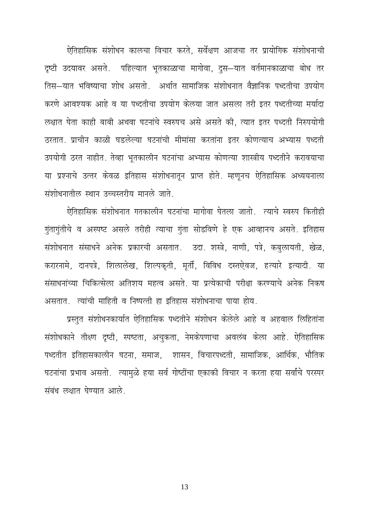ऐतिहासिक संशोधन कालचा विचार करते. सर्वेक्षण आजचा तर प्रायोगिक संशोधनाची दृष्टी उदयावर असते. पहिल्यात भूतकाळाचा मागोवा, दुस—यात वर्तमानकाळाचा बोध तर तिस—यात भविष्याचा शोध असतो. अर्थात सामाजिक संशोधनात वैज्ञानिक पध्दतीचा उपयोग करणे आवश्यक आहे व या पध्दतीचा उपयोग केलया जात असला तरी इतर पध्दतीच्या मर्यादा लक्षात घेता काही बाबी अथवा घटनांचे स्वरुपच असे असते की, त्यात इतर पध्दती निरुपयोगी ठरतात. प्राचीन काळी घडलेल्या घटनांची मीमांसा करतांना इतर कोणत्याच अभ्यास पध्दती उपयोगी ठरत नाहीत. तेव्हा भूतकालीन घटनांचा अभ्यास कोणत्या शास्त्रीय पध्दतीने करावयाचा या प्रश्नाचे उत्तर केवळ इतिहास संशोधनातून प्राप्त होते. म्हणूनच ऐतिहासिक अध्ययनाला संशोधनातील स्थान उच्चस्तरीय मानले जाते.

ऐतिहासिक संशोधनात गतकालीन घटनांचा मागोवा घेतला जातो. त्याचे स्वरुप कितीही गुंतागुंतीचे व अस्पष्ट असले तरीही त्याचा गुंता सोडविणे हे एक आव्हानच असते. इतिहास संशोधनात संसाधने अनेक प्रकारची असतात. उदा. शस्त्रे, नाणी, पत्रे, कबुलायती, खेळ, करारनामे, दानपत्रे, शिलालेख, शिल्पकृती, मूर्ती, विविध दस्तऐवज, हत्यारे इत्यादी. या संसाधनांच्या चिकित्सेला अतिशय महत्व असते. या प्रत्येकाची परीक्षा करण्याचे अनेक निकष असतात. त्यांची माहिती व निष्पत्ती हा इतिहास संशोधनाचा पाया होय.

प्रस्तुत संशोधनकार्यात ऐतिहासिक पध्दतीने संशोधन केलेले आहे व अहवाल लिहितांना संशोधकाने तीक्ष्ण दृष्टी, स्पष्टता, अचुकता, नेमकेपणाचा अवलंब केला आहे. ऐतिहासिक पध्दतीत इतिहासकालीन घटना, समाज, शासन, विचारपध्दती, सामाजिक, आर्थिक, भौतिक घटनांचा प्रभाव असतो. त्यामुळे हया सर्व गोष्टींचा एकाकी विचार न करता हया सर्वांचे परस्पर संबंध लक्षात घेण्यात आले.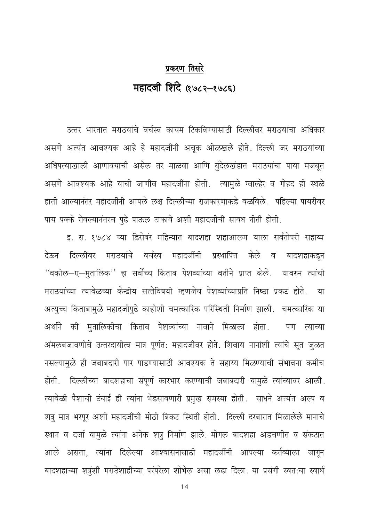# प्रकरण तिसरे महादजी शिंदे (१७८२-१७८६)

उत्तर भारतात मराठयांचे वर्चस्व कायम टिकविण्यासाठी दिल्लीवर मराठयांचा अधिकार असणे अत्यंत आवश्यक आहे हे महादजींनी अचूक ओळखले होते. दिल्ली जर मराठयांच्या अधिपत्याखाली आणावयाची असेल तर माळवा आणि बुंदेलखंडात मराठयांचा पाया मजबूत असणे आवश्यक आहे याची जाणीव महादजींना होती. त्यामुळे ग्वाल्हेर व गोहद ही स्थळे हाती आल्यानंतर महादजींनी आपले लक्ष दिल्लीच्या राजकारणाकडे वळविले. पहिल्या पायरीवर पाय पक्के रोवल्यानंतरच पढे पाऊल टाकावे अशी महादजीची सावध नीती होती.

इ. स. १७८४ च्या डिसेबंर महिन्यात बादशहा शहाआलम याला सर्वतोपरी सहाय्य दिल्लीवर मराठयांचे वर्चस्व महादजींनी प्रस्थापित देऊन केले ਕ बादशहाकडून ''वकील—ए—मुतालिक'' हा सर्वोच्च किताब पेशव्यांच्या वतीने प्राप्त केले. यावरुन त्यांची मराठयांच्या त्यावेळच्या केन्द्रीय सत्तेविषयी म्हणजेच पेशव्यांच्याप्रति निष्ठा प्रकट होते. या अत्युच्च किताबामुळे महादजीपुढे काहीशी चमत्कारिक परिस्थिती निर्माण झाली. चमत्कारिक या अर्थाने की मुतालिकीचा किताब पेशव्यांच्या नावाने मिळाला होता. पण त्याच्या अमलबजावणीचे उत्तरदायीत्व मात्र पूर्णत: महादजीवर होते. शिवाय नानांशी त्यांचे सूत जुळत नसल्यामूळे ही जबाबदारी पार पाडण्यासाठी आवश्यक ते सहाय्य मिळण्याची संभावना कमीच होती. दिल्लीच्या बादशहाचा संपूर्ण कारभार करण्याची जबाबदारी यामुळे त्यांच्यावर आली. त्यावेळी पैशाची टंचाई ही त्यांना भेडसावणारी प्रमुख समस्या होती. साधने अत्यंत अल्प व शत्रु मात्र भरपूर अशी महादजींची मोठी बिकट स्थिती होती. दिल्ली दरबारात मिळालेले मानाचे स्थान व दर्जा यामुळे त्यांना अनेक शत्रु निर्माण झाले. मोगल बादशहा अडचणीत व संकटात आले असता, त्यांना दिलेल्या आश्वासनासाठी महादजींनी आपल्या कर्तव्याला जागून बादशहाच्या शत्रुंशी मराठेशाहीच्या परंपरेला शोभेल असा लढा दिला. या प्रसंगी स्वत:चा स्वार्थ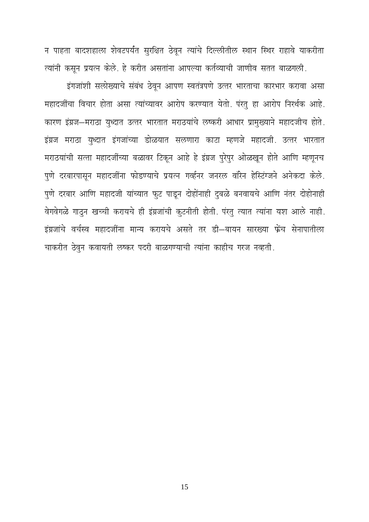न पाहता बादशहाला शेवटपर्यंत सुरक्षित ठेवून त्यांचे दिल्लीतील स्थान स्थिर राहावे याकरीता त्यांनी कसून प्रयत्न केले. हे करीत असतांना आपल्या कर्तव्याची जाणीव सतत बाळगली.

इंगजांशी सलोख्याचे संबंध ठेवून आपण स्वतंत्रपणे उत्तर भारताचा कारभार करावा असा महादजींचा विचार होता असा त्यांच्यावर आरोप करण्यात येतो. परंतु हा आरोप निरर्थक आहे. कारण इंग्रज-मराठा युध्दात उत्तर भारतात मराठयांचे लष्करी आधार प्रामुख्याने महादजीच होते. इंग्रज मराठा युध्दात इंगजांच्या डोळयात सलणारा काटा म्हणजे महादजी. उत्तर भारतात मराठयांची सत्ता महादजींच्या बळावर टिकून आहे हे इंग्रज पुरेपुर ओळखून होते आणि म्हणूनच पुणे दरबारपासून महादजींना फोडण्याचे प्रयत्न गर्व्हनर जनरल वॉरेन हेस्टिंग्जने अनेकदा केले. पुणे दरबार आणि महादजी यांच्यात फुट पाडून दोहोंनाही दुबळे बनवायचे आणि नंतर दोहोनाही वेगवेगळे गाठुन खच्ची करायचे ही इंग्रजांची कुटनीती होती. परंतु त्यात त्यांना यश आले नाही. इंग्रजांचे वर्चस्व महादजींना मान्य करायचे असते तर डी—बायन सारख्या फ्रेंच सेनापातीला चाकरीत ठेवून कवायती लष्कर पदरी बाळगण्याची त्यांना काहीच गरज नव्हती.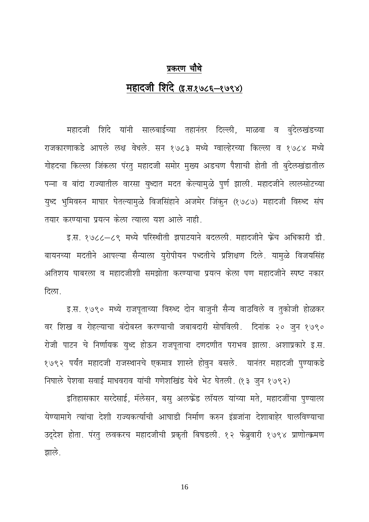# प्रकरण चौथे महादजी शिंदे (इ.स.१७८६–१७९४)

महादजी शिंदे यांनी सालबाईच्या तहानंतर दिल्ली, माळवा व बुंदेलखंडच्या राजकारणाकडे आपले लक्ष वेधले. सन १७८३ मध्ये ग्वाल्हेरच्या किल्ला व १७८४ मध्ये गोहदचा किल्ला जिंकला पंरत् महादजी समोर मुख्य अडचण पैशाची होती ती बुंदेलखंडातील पन्ना व बांदा राज्यातील वारसा युध्दात मदत केल्यामुळे पुर्ण झाली. महादजीने लालसोटच्या युध्द भुमिवरुन माघार घेतल्यामुळे विजसिंहाने अजमेर जिंकुन (१७८७) महादजी विरुध्द संघ तयार करण्याचा प्रयत्न केला त्याला यश आले नाही.

इ.स. १७८८-८९ मध्ये परिस्थीती झपाटयाने बदलली. महादजीने फ्रेंच अधिकारी डी. बायनच्या मदतीने आपल्या सैन्याला युरोपीयन पध्दतीचे प्रशिक्षण दिले. यामळे विजयसिंह अतिशय घाबरला व महादजीशी समझोता करण्याचा प्रयत्न केला पण महादजीने स्पष्ट नकार दिला.

इ.स. १७९० मध्ये राजपूताच्या विरुध्द दोन बाजुनी सैन्य वाठविले व तुकोजी होळकर वर शिख व रोहल्याचा बंदोबस्त करण्याची जबाबदारी सोपविली. दिनांक २० जून १७९० रोजी पाटन चे निर्णायक युध्द होऊन राजपूताचा दणदणीत पराभव झाला. अशाप्रकारे इ.स. १७९२ पर्यंत महादजी राजस्थानचे एकमात्र शास्ते होवुन बसले. यानंतर महादजी पुण्याकडे निघाले पेशवा सवाई माधवराव यांची गणेशखिंड येथे भेट घेतली. (१३ जुन १७९२)

इतिहासकार सरदेसाई, मॅलेसन, बसु अलफ्रेंड लॉयल यांच्या मते, महादजींचा पुण्याला येण्यामागे त्यांचा देशी राज्यकर्त्याची आघाडी निर्माण करुन इंग्रजांना देशाबाहेर घालविण्याचा उद्देश होता. परंतु लवकरच महादजीची प्रकृती बिघडली. १२ फेब्रुवारी १७९४ प्राणोत्क्रमण झाले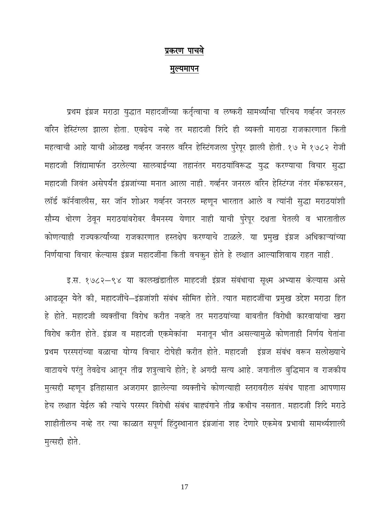### प्रकरण पाचवे

#### मुल्यमापन

प्रथम इंग्रज मराठा युद्धात महादजींच्या कर्तृत्वाचा व लष्करी सामर्थ्यांचा परिचय गर्व्हनर जनरल वॉरेन हेस्टिंग्ला झाला होता. एवढेच नव्हे तर महादजी शिंदे ही व्यक्ती माराठा राजकारणात किती महत्वाची आहे याची ओळख गर्व्हनर जनरल वॉरेन हेस्टिंगजला पुरेपूर झाली होती. १७ मे १७८२ रोजी महादजी शिंद्यामार्फत ठरलेल्या सालबाईच्या तहानंतर मराठयांविरूद्ध युद्ध करण्याचा विचार सुद्धा महादजी जिवंत असेपर्यंत इंग्रजांच्या मनात आला नाही. गर्व्हनर जनरल वॉरेन हेस्टिंग्ज नंतर मॅकफरसन, लॉर्ड कॉर्नवालीस, सर जॉन शोअर गर्व्हनर जनरल म्हणून भारतात आले व त्यांनी सुद्धा मराठयांशी सौम्य धोरण ठेवून मराठयांबरोबर वैमनस्य येणार नाही याची पुरेपूर दक्षता घेतली व भारतातील कोणत्याही राज्यकर्त्यांच्या राजकारणात हस्तक्षेप करण्याचे टाळले. या प्रमुख इंग्रज अधिकाऱ्यांच्या निर्णयाचा विचार केल्यास इंग्रज महादजींना किती वचकुन होते हे लक्षात आल्याशिवाय राहत नाही.

इ.स. १७८२–९४ या कालखंडातील माहदजी इंग्रज संबंधाचा सूक्ष्म अभ्यास केल्यास असे आढळून येते की, महादजींचे-इंग्रजांशी संबंध सीमित होते. त्यात महादजींचा प्रमुख उद्देश मराठा हित हे होते. महादजी व्यक्तींचा विरोध करीत नव्हते तर मराठयांच्या बाबतीत विरोधी कारवायांचा खरा विरोध करीत होते. इंग्रज व महादजी एकमेकांना मनातून भीत असल्यामुळे कोणताही निर्णय घेतांना प्रथम परस्परांच्या बळाचा योग्य विचार दोघेही करीत होते. महादजी इंग्रज संबंध वरून सलोख्याचे वाटायचे परंतु तेवढेच आतून तीव्र शत्रुत्वाचे होते; हे अगदी सत्य आहे. जगातील बुद्धिमान व राजकीय मुत्सद्दी म्हणून इतिहासात अजरामर झालेल्या व्यक्तीचे कोणत्याही स्तरावरील संबंध पाहता आपणास हेच लक्षात येईल की त्यांचे परस्पर विरोधी संबंध बाह्यंगाने तीव्र कधीच नसतात. महादजी शिंदे मराठे शाहीतीलच नव्हे तर त्या काळात सपूर्ण हिंदुस्थानात इंग्रजांना शह देणारे एकमेव प्रभावी सामर्थ्यशाली मृत्सद्दी होते.